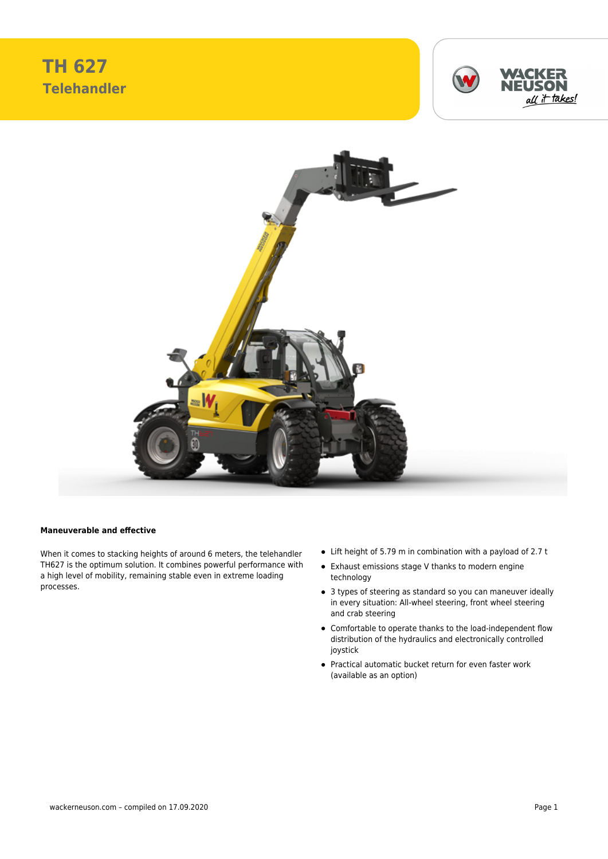**TH 627 Telehandler**





## **Maneuverable and effective**

When it comes to stacking heights of around 6 meters, the telehandler TH627 is the optimum solution. It combines powerful performance with a high level of mobility, remaining stable even in extreme loading processes.

- Lift height of 5.79 m in combination with a payload of 2.7 t
- Exhaust emissions stage V thanks to modern engine technology
- 3 types of steering as standard so you can maneuver ideally in every situation: All-wheel steering, front wheel steering and crab steering
- Comfortable to operate thanks to the load-independent flow distribution of the hydraulics and electronically controlled joystick
- Practical automatic bucket return for even faster work (available as an option)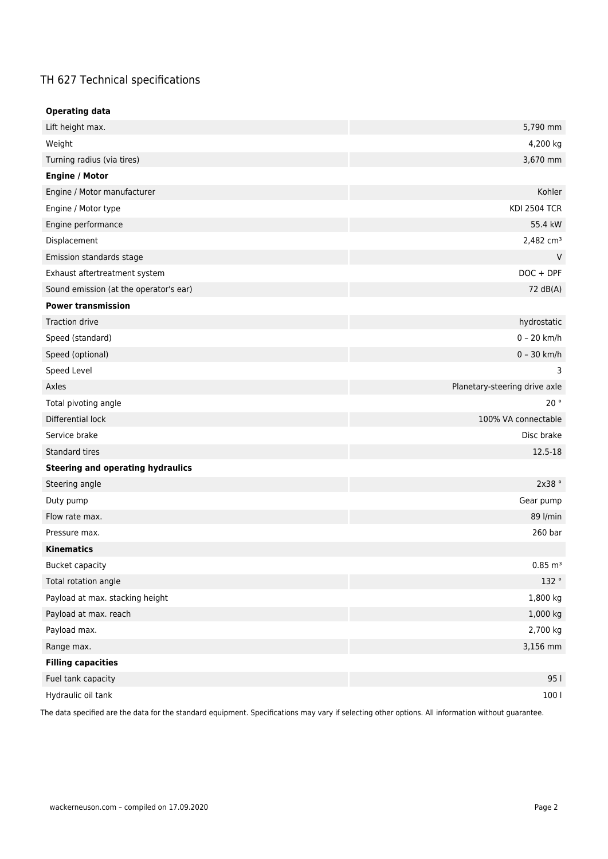## TH 627 Technical specifications

| <b>Operating data</b>                    |                               |  |
|------------------------------------------|-------------------------------|--|
| Lift height max.                         | 5,790 mm                      |  |
| Weight                                   | 4,200 kg                      |  |
| Turning radius (via tires)               | 3,670 mm                      |  |
| <b>Engine / Motor</b>                    |                               |  |
| Engine / Motor manufacturer              | Kohler                        |  |
| Engine / Motor type                      | <b>KDI 2504 TCR</b>           |  |
| Engine performance                       | 55.4 kW                       |  |
| Displacement                             | 2,482 cm <sup>3</sup>         |  |
| Emission standards stage                 | V                             |  |
| Exhaust aftertreatment system            | $DOC + DPF$                   |  |
| Sound emission (at the operator's ear)   | 72 dB(A)                      |  |
| <b>Power transmission</b>                |                               |  |
| <b>Traction drive</b>                    | hydrostatic                   |  |
| Speed (standard)                         | $0 - 20$ km/h                 |  |
| Speed (optional)                         | $0 - 30$ km/h                 |  |
| Speed Level                              | 3                             |  |
| Axles                                    | Planetary-steering drive axle |  |
| Total pivoting angle                     | 20°                           |  |
| Differential lock                        | 100% VA connectable           |  |
| Service brake                            | Disc brake                    |  |
| <b>Standard tires</b>                    | 12.5-18                       |  |
| <b>Steering and operating hydraulics</b> |                               |  |
| Steering angle                           | 2x38°                         |  |
| Duty pump                                | Gear pump                     |  |
| Flow rate max.                           | 89 l/min                      |  |
| Pressure max.                            | 260 bar                       |  |
| <b>Kinematics</b>                        |                               |  |
| <b>Bucket capacity</b>                   | $0.85 \; \text{m}^3$          |  |
| Total rotation angle                     | 132 °                         |  |
| Payload at max. stacking height          | 1,800 kg                      |  |
| Payload at max. reach                    | 1,000 kg                      |  |
| Payload max.                             | 2,700 kg                      |  |
| Range max.                               | 3,156 mm                      |  |
| <b>Filling capacities</b>                |                               |  |
| Fuel tank capacity                       | 95                            |  |
| Hydraulic oil tank                       | 100                           |  |

The data specified are the data for the standard equipment. Specifications may vary if selecting other options. All information without guarantee.